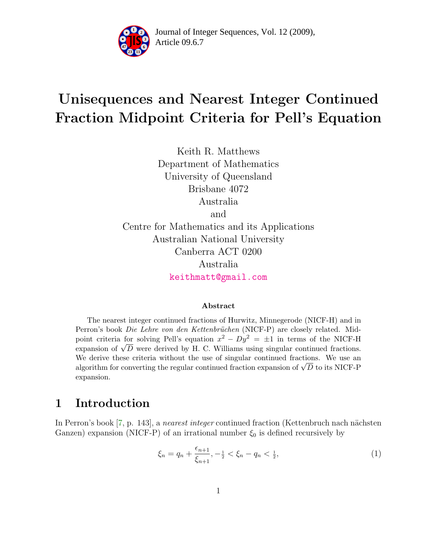

Article 09.6.7 **<sup>2</sup>** Journal of Integer Sequences, Vol. 12 (2009),

# Unisequences and Nearest Integer Continued Fraction Midpoint Criteria for Pell's Equation

Keith R. Matthews Department of Mathematics University of Queensland Brisbane 4072 Australia and Centre for Mathematics and its Applications Australian National University Canberra ACT 0200 Australia [keithmatt@gmail.com](mailto:keithmatt@gmail.com)

#### Abstract

The nearest integer continued fractions of Hurwitz, Minnegerode (NICF-H) and in Perron's book Die Lehre von den Kettenbrüchen (NICF-P) are closely related. Midpoint criteria for solving Pell's equation  $x^2 - Dy^2 = \pm 1$  in terms of the NICF-H expansion of  $\sqrt{D}$  were derived by H. C. Williams using singular continued fractions. We derive these criteria without the use of singular continued fractions. We use an algorithm for converting the regular continued fraction expansion of  $\sqrt{D}$  to its NICF-P expansion.

#### 1 Introduction

In Perron's book [\[7,](#page-23-0) p. 143], a *nearest integer* continued fraction (Kettenbruch nach nächsten Ganzen) expansion (NICF-P) of an irrational number  $\xi_0$  is defined recursively by

$$
\xi_n = q_n + \frac{\epsilon_{n+1}}{\xi_{n+1}}, -\frac{1}{2} < \xi_n - q_n < \frac{1}{2},\tag{1}
$$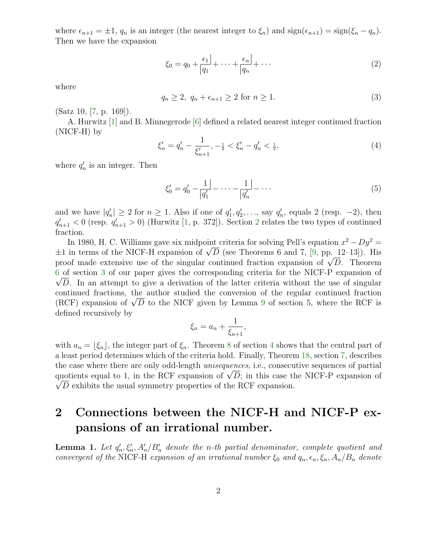where  $\epsilon_{n+1} = \pm 1$ ,  $q_n$  is an integer (the nearest integer to  $\xi_n$ ) and  $sign(\epsilon_{n+1}) = sign(\xi_n - q_n)$ . Then we have the expansion

$$
\xi_0 = q_0 + \frac{\epsilon_1}{|q_1|} + \dots + \frac{\epsilon_n}{|q_n|} + \dots \tag{2}
$$

where

$$
q_n \ge 2, q_n + \epsilon_{n+1} \ge 2 \text{ for } n \ge 1. \tag{3}
$$

(Satz 10, [\[7,](#page-23-0) p. 169]).

A. Hurwitz [\[1\]](#page-23-1) and B. Minnegerode [\[6\]](#page-23-2) defined a related nearest integer continued fraction (NICF-H) by

$$
\xi'_n = q'_n - \frac{1}{\xi'_{n+1}}, -\frac{1}{2} < \xi'_n - q'_n < \frac{1}{2},\tag{4}
$$

where  $q'_n$  is an integer. Then

$$
\xi_0' = q_0' - \frac{1}{|q_1'|} - \dots - \frac{1}{|q_n'|} - \dots \tag{5}
$$

and we have  $|q'_n| \ge 2$  for  $n \ge 1$ . Also if one of  $q'_1, q'_2, \ldots$ , say  $q'_n$ , equals 2 (resp. -2), then  $q'_{n+1} < 0$  (resp.  $q'_{n+1} > 0$ ) (Hurwitz [\[1,](#page-23-1) p. 37[2](#page-1-0)]). Section 2 relates the two types of continued fraction.

In 1980, H. C. Williams gave six midpoint criteria for solving Pell's equation  $x^2 - Dy^2 =$  $\pm 1$  in terms of the NICF-H expansion of  $\sqrt{D}$  (see Theorems 6 and 7, [\[9,](#page-23-3) pp. 12–13]). His proof made extensive use of the singular continued fraction expansion of  $\sqrt{D}$ . Theorem [6](#page-5-0) of section [3](#page-5-1) of our paper gives the corresponding criteria for the NICF-P expansion of  $\sqrt{D}$ . In an attempt to give a derivation of the latter criteria without the use of singular continued fractions, the author studied the conversion of the regular continued fraction (RCF) expansion of  $\sqrt{D}$  to the NICF given by Lemma [9](#page-8-0) of section 5, where the RCF is defined recursively by

$$
\xi_n = a_n + \frac{1}{\xi_{n+1}},
$$

with  $a_n = \lfloor \xi_n \rfloor$ , the integer part of  $\xi_n$ . Theorem [8](#page-8-1) of section [4](#page-7-0) shows that the central part of a least period determines which of the criteria hold. Finally, Theorem [18,](#page-20-0) section [7,](#page-20-1) describes the case where there are only odd-length unisequences, i.e., consecutive sequences of partial quotients equal to 1, in the RCF expansion of  $\sqrt{D}$ ; in this case the NICF-P expansion of  $\sqrt{D}$  exhibits the usual symmetry properties of the RCF expansion.

# <span id="page-1-0"></span>2 Connections between the NICF-H and NICF-P expansions of an irrational number.

**Lemma 1.** Let  $q'_n, \xi'_n, A'_n/B'_n$  denote the n-th partial denominator, complete quotient and convergent of the NICF-H expansion of an irrational number  $\xi_0$  and  $q_n, \epsilon_n, \xi_n, A_n/B_n$  denote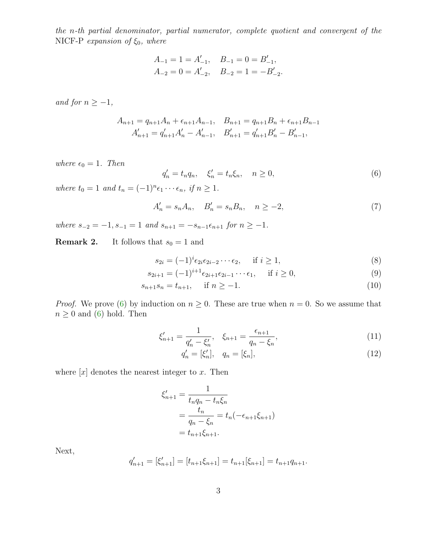the n-th partial denominator, partial numerator, complete quotient and convergent of the NICF-P expansion of  $\xi_0$ , where

$$
A_{-1} = 1 = A'_{-1},
$$
  $B_{-1} = 0 = B'_{-1},$   
\n $A_{-2} = 0 = A'_{-2},$   $B_{-2} = 1 = -B'_{-2}.$ 

and for  $n \geq -1$ ,

$$
A_{n+1} = q_{n+1}A_n + \epsilon_{n+1}A_{n-1}, \quad B_{n+1} = q_{n+1}B_n + \epsilon_{n+1}B_{n-1}
$$

$$
A'_{n+1} = q'_{n+1}A'_n - A'_{n-1}, \quad B'_{n+1} = q'_{n+1}B'_n - B'_{n-1},
$$

<span id="page-2-0"></span>where  $\epsilon_0 = 1$ . Then

<span id="page-2-1"></span>
$$
q'_n = t_n q_n, \quad \xi'_n = t_n \xi_n, \quad n \ge 0,
$$
\n<sup>(6)</sup>

where  $t_0 = 1$  and  $t_n = (-1)^n \epsilon_1 \cdots \epsilon_n$ , if  $n \ge 1$ .

$$
A'_n = s_n A_n, \quad B'_n = s_n B_n, \quad n \ge -2,
$$
\n<sup>(7)</sup>

where  $s_{-2} = -1$ ,  $s_{-1} = 1$  and  $s_{n+1} = -s_{n-1} \epsilon_{n+1}$  for  $n \ge -1$ .

**Remark 2.** It follows that  $s_0 = 1$  and

$$
s_{2i} = (-1)^i \epsilon_{2i} \epsilon_{2i-2} \cdots \epsilon_2, \quad \text{if } i \ge 1,
$$
\n
$$
(8)
$$

$$
s_{2i+1} = (-1)^{i+1} \epsilon_{2i+1} \epsilon_{2i-1} \cdots \epsilon_1, \quad \text{if } i \ge 0,
$$
\n(9)

$$
s_{n+1}s_n = t_{n+1}, \quad \text{if } n \ge -1. \tag{10}
$$

*Proof.* We prove [\(6\)](#page-2-0) by induction on  $n \geq 0$ . These are true when  $n = 0$ . So we assume that  $n \geq 0$  and [\(6\)](#page-2-0) hold. Then

$$
\xi'_{n+1} = \frac{1}{q'_n - \xi'_n}, \quad \xi_{n+1} = \frac{\epsilon_{n+1}}{q_n - \xi_n},\tag{11}
$$

$$
q'_n = [\xi'_n], \quad q_n = [\xi_n], \tag{12}
$$

where  $[x]$  denotes the nearest integer to x. Then

$$
\xi'_{n+1} = \frac{1}{t_n q_n - t_n \xi_n}
$$
  
= 
$$
\frac{t_n}{q_n - \xi_n} = t_n(-\epsilon_{n+1} \xi_{n+1})
$$
  
= 
$$
t_{n+1} \xi_{n+1}.
$$

Next,

$$
q'_{n+1} = [\xi'_{n+1}] = [t_{n+1}\xi_{n+1}] = t_{n+1}[\xi_{n+1}] = t_{n+1}q_{n+1}.
$$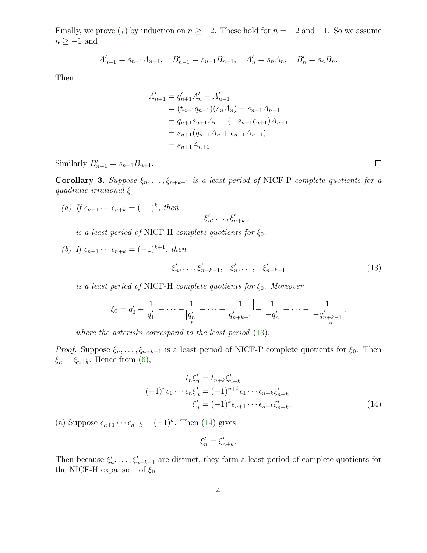Finally, we prove [\(7\)](#page-2-1) by induction on  $n \ge -2$ . These hold for  $n = -2$  and  $-1$ . So we assume  $n \geq -1$  and

$$
A'_{n-1} = s_{n-1}A_{n-1}, \quad B'_{n-1} = s_{n-1}B_{n-1}, \quad A'_{n} = s_{n}A_{n}, \quad B'_{n} = s_{n}B_{n}.
$$

Then

$$
A'_{n+1} = q'_{n+1}A'_{n} - A'_{n-1}
$$
  
=  $(t_{n+1}q_{n+1})(s_nA_n) - s_{n-1}A_{n-1}$   
=  $q_{n+1}s_{n+1}A_n - (-s_{n+1}\epsilon_{n+1})A_{n-1}$   
=  $s_{n+1}(q_{n+1}A_n + \epsilon_{n+1}A_{n-1})$   
=  $s_{n+1}A_{n+1}$ .

<span id="page-3-2"></span>Similarly  $B'_{n+1} = s_{n+1}B_{n+1}$ .

Corollary 3. Suppose  $\xi_n, \ldots, \xi_{n+k-1}$  is a least period of NICF-P complete quotients for a quadratic irrational  $\xi_0$ .

(a) If  $\epsilon_{n+1} \cdots \epsilon_{n+k} = (-1)^k$ , then

$$
\xi_n',\ldots,\xi_{n+k-1}'
$$

is a least period of NICF-H complete quotients for  $\xi_0$ .

(b) If 
$$
\epsilon_{n+1} \cdots \epsilon_{n+k} = (-1)^{k+1}
$$
, then

<span id="page-3-0"></span>
$$
\xi'_n, \dots, \xi'_{n+k-1}, -\xi'_n, \dots, -\xi'_{n+k-1}
$$
\n(13)

is a least period of NICF-H complete quotients for  $\xi_0$ . Moreover

$$
\xi_0 = q'_0 - \frac{1}{|q'_1|} - \dots - \frac{1}{|q'_n|} - \dots - \frac{1}{|q'_{n+k-1}|} - \frac{1}{|q'_n|} - \dots - \frac{1}{|q'_{n+k-1}|},
$$

where the asterisks correspond to the least period  $(13)$ .

*Proof.* Suppose  $\xi_n, \ldots, \xi_{n+k-1}$  is a least period of NICF-P complete quotients for  $\xi_0$ . Then  $\xi_n = \xi_{n+k}$ . Hence from [\(6\)](#page-2-0),

$$
t_n \xi'_n = t_{n+k} \xi'_{n+k}
$$
  

$$
(-1)^n \epsilon_1 \cdots \epsilon_n \xi'_n = (-1)^{n+k} \epsilon_1 \cdots \epsilon_{n+k} \xi'_{n+k}
$$
  

$$
\xi'_n = (-1)^k \epsilon_{n+1} \cdots \epsilon_{n+k} \xi'_{n+k}.
$$
  
(14)

(a) Suppose  $\epsilon_{n+1} \cdots \epsilon_{n+k} = (-1)^k$ . Then [\(14\)](#page-3-1) gives

<span id="page-3-1"></span>
$$
\xi_n'=\xi_{n+k}'.
$$

Then because  $\xi'_n, \ldots, \xi'_{n+k-1}$  are distinct, they form a least period of complete quotients for the NICF-H expansion of  $\xi_0$ .

 $\Box$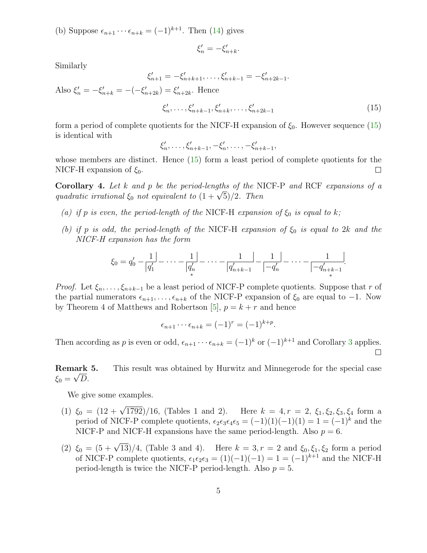(b) Suppose  $\epsilon_{n+1} \cdots \epsilon_{n+k} = (-1)^{k+1}$ . Then [\(14\)](#page-3-1) gives

$$
\xi_n' = -\xi_{n+k}'.
$$

Similarly

<span id="page-4-0"></span>
$$
\xi'_{n+1} = -\xi'_{n+k+1}, \ldots, \xi'_{n+k-1} = -\xi'_{n+2k-1}.
$$

Also  $\xi'_n = -\xi'_{n+k} = -(-\xi'_{n+2k}) = \xi'_{n+2k}$ . Hence

$$
\xi'_n, \dots, \xi'_{n+k-1}, \xi'_{n+k}, \dots, \xi'_{n+2k-1} \tag{15}
$$

∗

form a period of complete quotients for the NICF-H expansion of  $\xi_0$ . However sequence [\(15\)](#page-4-0) is identical with

$$
\xi'_n, \ldots, \xi'_{n+k-1}, -\xi'_n, \ldots, -\xi'_{n+k-1},
$$

whose members are distinct. Hence [\(15\)](#page-4-0) form a least period of complete quotients for the NICF-H expansion of  $\xi_0$ .  $\Box$ 

**Corollary 4.** Let  $k$  and  $p$  be the period-lengths of the NICF-P and RCF expansions of a quadratic irrational  $\xi_0$  not equivalent to  $(1 + \sqrt{5})/2$ . Then

- (a) if p is even, the period-length of the NICF-H expansion of  $\xi_0$  is equal to k;
- (b) if p is odd, the period-length of the NICF-H expansion of  $\xi_0$  is equal to 2k and the NICF-H expansion has the form

$$
\xi_0 = q'_0 - \frac{1}{|q'_1|} - \dots - \frac{1}{|q'_n|} - \dots - \frac{1}{|q'_{n+k-1}|} - \frac{1}{|q'_n|} - \dots - \frac{1}{|q'_{n+k-1}|}.
$$

*Proof.* Let  $\xi_n, \ldots, \xi_{n+k-1}$  be a least period of NICF-P complete quotients. Suppose that r of the partial numerators  $\epsilon_{n+1}, \ldots, \epsilon_{n+k}$  of the NICF-P expansion of  $\xi_0$  are equal to  $-1$ . Now by Theorem 4 of Matthews and Robertson [\[5\]](#page-23-4),  $p = k + r$  and hence

$$
\epsilon_{n+1}\cdots\epsilon_{n+k} = (-1)^r = (-1)^{k+p}.
$$

Then according as p is even or odd,  $\epsilon_{n+1} \cdots \epsilon_{n+k} = (-1)^k$  or  $(-1)^{k+1}$  and Corollary [3](#page-3-2) applies.

Remark 5. This result was obtained by Hurwitz and Minnegerode for the special case  $\xi_0 = \sqrt{D}$ .

We give some examples.

- (1)  $\xi_0 = (12 + \sqrt{1792})/16$ , (Tables 1 and 2). Here  $k = 4, r = 2, \xi_1, \xi_2, \xi_3, \xi_4$  form a period of NICF-P complete quotients,  $\epsilon_2 \epsilon_3 \epsilon_4 \epsilon_5 = (-1)(1)(-1)(1) = 1 = (-1)^k$  and the NICF-P and NICF-H expansions have the same period-length. Also  $p = 6$ .
- (2)  $\xi_0 = (5 + \sqrt{13})/4$ , (Table 3 and 4). Here  $k = 3, r = 2$  and  $\xi_0, \xi_1, \xi_2$  form a period of NICF-P complete quotients,  $\epsilon_1 \epsilon_2 \epsilon_3 = (1)(-1)(-1) = 1 = (-1)^{k+1}$  and the NICF-H period-length is twice the NICF-P period-length. Also  $p = 5$ .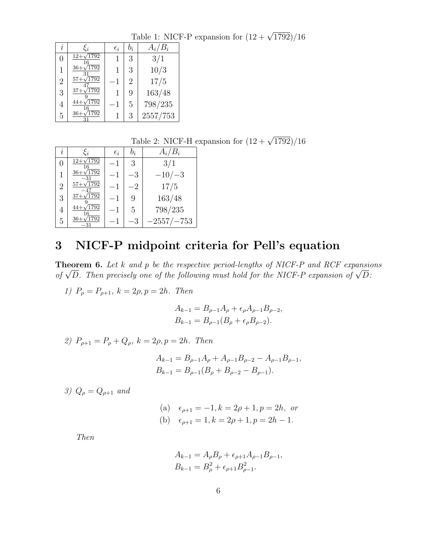Table 1: NICF-P expansion for  $(12 + \sqrt{1792})/16$ 

| $\dot{i}$      | $\xi_i$                       | $\epsilon_i$ | $b_i$ | $A_i/B_i$ |
|----------------|-------------------------------|--------------|-------|-----------|
| 0              | $\overline{1792}$<br>$12 + 1$ |              | 3     | 3/1       |
| 1              | 1792<br>$36+$                 |              | 3     | 10/3      |
| $\overline{2}$ | /1792<br>$57+\sqrt{2}$        | -1           | 2     | 17/5      |
| 3              | 1792<br>$37 +$                |              | 9     | 163/48    |
| 4              | 1792                          | -1           | 5     | 798/235   |
| 5              | 1792                          |              | 3     | 2557/753  |

Table 2: NICF-H expansion for  $(12 + \sqrt{1792})/16$ 

| $\imath$         | $\xi_i$                          | $\epsilon_i$ | $b_i$ | $A_i/B_i$     |
|------------------|----------------------------------|--------------|-------|---------------|
| $\left( \right)$ | $^{\prime}1792$<br>$12+\sqrt{ }$ | -1           | 3     | 3/1           |
| 1                | 1792<br>$36+$                    | -1           | -3    | $-10/-3$      |
| $\overline{2}$   | 1792                             | $-1$         | $-2$  | 17/5          |
| 3                | $^{\prime}1792$                  | $-1$         | 9     | 163/48        |
| 4                | 1792                             | $-1$         | 5     | 798/235       |
| 5                | 1792<br>-31                      |              | -3    | $-2557/ -753$ |

## <span id="page-5-1"></span>3 NICF-P midpoint criteria for Pell's equation

<span id="page-5-0"></span>**Theorem 6.** Let  $k$  and  $p$  be the respective period-lengths of NICF-P and RCF expansions of  $\sqrt{D}$ . Then precisely one of the following must hold for the NICF-P expansion of  $\sqrt{D}$ :

1)  $P_{\rho} = P_{\rho+1}, k = 2\rho, p = 2h$ . Then

$$
A_{k-1} = B_{\rho-1}A_{\rho} + \epsilon_{\rho}A_{\rho-1}B_{\rho-2},
$$
  

$$
B_{k-1} = B_{\rho-1}(B_{\rho} + \epsilon_{\rho}B_{\rho-2}).
$$

2) 
$$
P_{\rho+1} = P_{\rho} + Q_{\rho}, k = 2\rho, p = 2h
$$
. Then

$$
A_{k-1} = B_{\rho-1}A_{\rho} + A_{\rho-1}B_{\rho-2} - A_{\rho-1}B_{\rho-1},
$$
  

$$
B_{k-1} = B_{\rho-1}(B_{\rho} + B_{\rho-2} - B_{\rho-1}).
$$

3)  $Q_{\rho} = Q_{\rho+1}$  and

(a) 
$$
\epsilon_{\rho+1} = -1, k = 2\rho + 1, p = 2h, \text{ or}
$$
  
\n(b)  $\epsilon_{\rho+1} = 1, k = 2\rho + 1, p = 2h - 1.$ 

Then

$$
A_{k-1} = A_{\rho}B_{\rho} + \epsilon_{\rho+1}A_{\rho-1}B_{\rho-1},
$$
  

$$
B_{k-1} = B_{\rho}^{2} + \epsilon_{\rho+1}B_{\rho-1}^{2}.
$$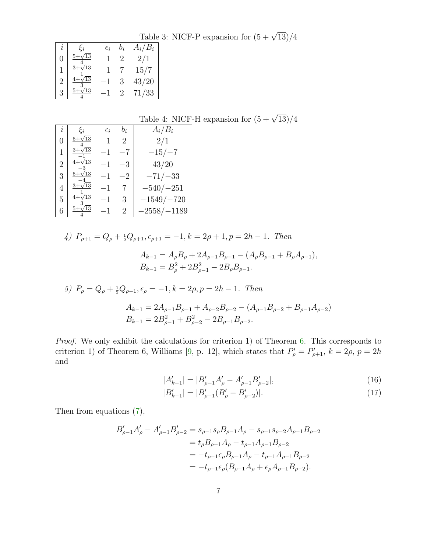$i \mid \xi_i \mid \epsilon_i \mid b_i \mid A_i/B_i$ 0  $\frac{5+\sqrt{13}}{5}$  $rac{4}{3+\sqrt{13}}$  $\boxed{1}$   $\boxed{2}$   $\boxed{2/1}$ 1  $\frac{1}{4+\sqrt{13}}$  $1 \mid 7 \mid 15/7$ 2  $\frac{\frac{\sqrt{13}}{3}}{\frac{\sqrt{13}}{1}}$  -1 3 43/20 3  $\frac{5+\sqrt{13}}{2}$ 71/33

Table 3: NICF-P expansion for  $(5 + \sqrt{13})/4$ 

Table 4: NICF-H expansion for  $(5 + \sqrt{13})/4$ 

| $\imath$ | $\xi_i$         | $\epsilon_i$ | $b_i$ | $A_i/B_i$     |
|----------|-----------------|--------------|-------|---------------|
| 0        | $5 + \sqrt{13}$ |              | 2     | 2/1           |
| 1        | $3 + \sqrt{13}$ | $-1$         | —7    | $-15/-7$      |
| 2        | $4 + \sqrt{13}$ | $^{\rm -1}$  | $-3$  | 43/20         |
| 3        | $5 + \sqrt{13}$ | $^{\rm -1}$  | $-2$  | $-71/ -33$    |
| 4        | $3 + \sqrt{13}$ | $-1$         |       | $-540/-251$   |
| 5        | Ί3              | -1           | 3     | $-1549/-720$  |
| 6        | Ί3              | -1           | 2     | $-2558/-1189$ |

4)  $P_{\rho+1} = Q_{\rho} + \frac{1}{2}Q_{\rho+1}, \epsilon_{\rho+1} = -1, k = 2\rho + 1, p = 2h - 1$ . Then

$$
A_{k-1} = A_{\rho}B_{\rho} + 2A_{\rho-1}B_{\rho-1} - (A_{\rho}B_{\rho-1} + B_{\rho}A_{\rho-1}),
$$
  

$$
B_{k-1} = B_{\rho}^2 + 2B_{\rho-1}^2 - 2B_{\rho}B_{\rho-1}.
$$

5) 
$$
P_{\rho} = Q_{\rho} + \frac{1}{2}Q_{\rho-1}, \epsilon_{\rho} = -1, k = 2\rho, p = 2h - 1
$$
. Then  
\n
$$
A_{k-1} = 2A_{\rho-1}B_{\rho-1} + A_{\rho-2}B_{\rho-2} - (A_{\rho-1}B_{\rho-2} + B_{\rho-1}A_{\rho-2})
$$
\n
$$
B_{k-1} = 2B_{\rho-1}^2 + B_{\rho-2}^2 - 2B_{\rho-1}B_{\rho-2}.
$$

Proof. We only exhibit the calculations for criterion 1) of Theorem [6.](#page-5-0) This corresponds to criterion 1) of Theorem 6, Williams [\[9,](#page-23-3) p. 12], which states that  $P'_{\rho} = P'_{\rho+1}$ ,  $k = 2\rho$ ,  $p = 2h$ and

<span id="page-6-1"></span><span id="page-6-0"></span>
$$
|A'_{k-1}| = |B'_{\rho-1}A'_{\rho} - A'_{\rho-1}B'_{\rho-2}|,\tag{16}
$$

$$
|B'_{k-1}| = |B'_{\rho-1}(B'_{\rho} - B'_{\rho-2})|.\tag{17}
$$

Then from equations [\(7\)](#page-2-1),

$$
B'_{\rho-1}A'_{\rho} - A'_{\rho-1}B'_{\rho-2} = s_{\rho-1}s_{\rho}B_{\rho-1}A_{\rho} - s_{\rho-1}s_{\rho-2}A_{\rho-1}B_{\rho-2}
$$
  
=  $t_{\rho}B_{\rho-1}A_{\rho} - t_{\rho-1}A_{\rho-1}B_{\rho-2}$   
=  $-t_{\rho-1}\epsilon_{\rho}B_{\rho-1}A_{\rho} - t_{\rho-1}A_{\rho-1}B_{\rho-2}$   
=  $-t_{\rho-1}\epsilon_{\rho}(B_{\rho-1}A_{\rho} + \epsilon_{\rho}A_{\rho-1}B_{\rho-2}).$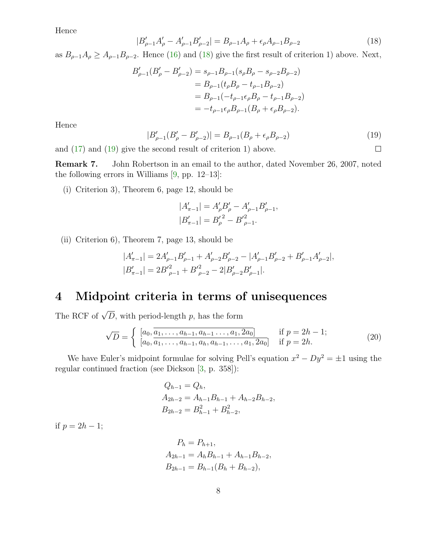<span id="page-7-1"></span>Hence

$$
|B'_{\rho-1}A'_{\rho} - A'_{\rho-1}B'_{\rho-2}| = B_{\rho-1}A_{\rho} + \epsilon_{\rho}A_{\rho-1}B_{\rho-2}
$$
\n(18)

as  $B_{\rho-1}A_{\rho} \geq A_{\rho-1}B_{\rho-2}$ . Hence [\(16\)](#page-6-0) and [\(18\)](#page-7-1) give the first result of criterion 1) above. Next,

$$
B'_{\rho-1}(B'_{\rho} - B'_{\rho-2}) = s_{\rho-1}B_{\rho-1}(s_{\rho}B_{\rho} - s_{\rho-2}B_{\rho-2})
$$
  
=  $B_{\rho-1}(t_{\rho}B_{\rho} - t_{\rho-1}B_{\rho-2})$   
=  $B_{\rho-1}(-t_{\rho-1}\epsilon_{\rho}B_{\rho} - t_{\rho-1}B_{\rho-2})$   
=  $-t_{\rho-1}\epsilon_{\rho}B_{\rho-1}(B_{\rho} + \epsilon_{\rho}B_{\rho-2}).$ 

<span id="page-7-2"></span>Hence

$$
|B'_{\rho-1}(B'_{\rho} - B'_{\rho-2})| = B_{\rho-1}(B_{\rho} + \epsilon_{\rho}B_{\rho-2})
$$
\n
$$
\text{e second result of criterion 1) above.} \qquad \qquad \square
$$

and [\(17\)](#page-6-1) and [\(19\)](#page-7-2) give the second result of criterion 1) above.

Remark 7. John Robertson in an email to the author, dated November 26, 2007, noted the following errors in Williams  $[9, pp. 12-13]$ :

(i) Criterion 3), Theorem 6, page 12, should be

$$
|A'_{\pi-1}| = A'_{\rho} B'_{\rho} - A'_{\rho-1} B'_{\rho-1},
$$
  

$$
|B'_{\pi-1}| = {B'_{\rho}}^2 - {B'}_{\rho-1}^2.
$$

(ii) Criterion 6), Theorem 7, page 13, should be

<span id="page-7-3"></span>
$$
|A'_{\pi-1}| = 2A'_{\rho-1}B'_{\rho-1} + A'_{\rho-2}B'_{\rho-2} - |A'_{\rho-1}B'_{\rho-2} + B'_{\rho-1}A'_{\rho-2}|,
$$
  

$$
|B'_{\pi-1}| = 2B'^2_{\rho-1} + B'^2_{\rho-2} - 2|B'_{\rho-2}B'_{\rho-1}|.
$$

#### <span id="page-7-0"></span>4 Midpoint criteria in terms of unisequences

The RCF of  $\sqrt{D}$ , with period-length p, has the form

$$
\sqrt{D} = \begin{cases} [a_0, \overline{a_1, \dots, a_{h-1}, a_{h-1} \dots, a_1, 2a_0}] & \text{if } p = 2h - 1; \\ [a_0, \overline{a_1, \dots, a_{h-1}, a_h, a_{h-1}, \dots, a_1, 2a_0}] & \text{if } p = 2h. \end{cases}
$$
(20)

We have Euler's midpoint formulae for solving Pell's equation  $x^2 - Dy^2 = \pm 1$  using the regular continued fraction (see Dickson [\[3,](#page-23-5) p. 358]):

$$
Q_{h-1} = Q_h,
$$
  
\n
$$
A_{2h-2} = A_{h-1}B_{h-1} + A_{h-2}B_{h-2},
$$
  
\n
$$
B_{2h-2} = B_{h-1}^2 + B_{h-2}^2,
$$

if  $p = 2h - 1$ ;

$$
P_h = P_{h+1},
$$
  
\n
$$
A_{2h-1} = A_h B_{h-1} + A_{h-1} B_{h-2},
$$
  
\n
$$
B_{2h-1} = B_{h-1} (B_h + B_{h-2}),
$$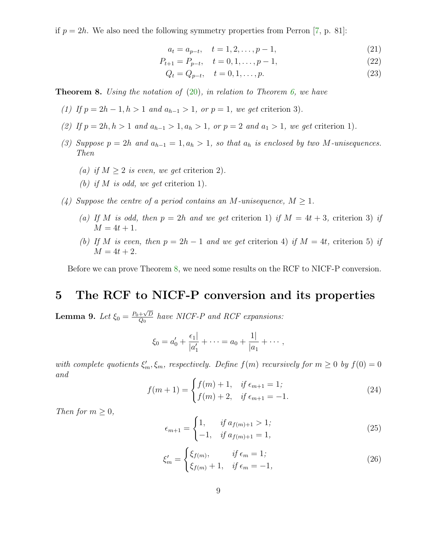if  $p = 2h$ . We also need the following symmetry properties from Perron [\[7,](#page-23-0) p. 81]:

$$
a_t = a_{p-t}, \quad t = 1, 2, \dots, p-1,
$$
\n<sup>(21)</sup>

$$
P_{t+1} = P_{p-t}, \quad t = 0, 1, \dots, p-1,
$$
\n<sup>(22)</sup>

$$
Q_t = Q_{p-t}, \quad t = 0, 1, \dots, p. \tag{23}
$$

<span id="page-8-1"></span>**Theorem 8.** Using the notation of  $(20)$ , in relation to Theorem [6,](#page-5-0) we have

- (1) If  $p = 2h 1, h > 1$  and  $a_{h-1} > 1$ , or  $p = 1$ , we get criterion 3).
- (2) If  $p = 2h, h > 1$  and  $a_{h-1} > 1, a_h > 1$ , or  $p = 2$  and  $a_1 > 1$ , we get criterion 1).
- (3) Suppose  $p = 2h$  and  $a_{h-1} = 1, a_h > 1$ , so that  $a_h$  is enclosed by two M-unisequences. Then
	- (a) if  $M \geq 2$  is even, we get criterion 2).
	- (b) if M is odd, we get criterion 1).
- (4) Suppose the centre of a period contains an M-unisequence,  $M \geq 1$ .
	- (a) If M is odd, then  $p = 2h$  and we get criterion 1) if  $M = 4t + 3$ , criterion 3) if  $M = 4t + 1.$
	- (b) If M is even, then  $p = 2h 1$  and we get criterion 4) if  $M = 4t$ , criterion 5) if  $M = 4t + 2.$

Before we can prove Theorem [8,](#page-8-1) we need some results on the RCF to NICF-P conversion.

#### 5 The RCF to NICF-P conversion and its properties

<span id="page-8-0"></span>Lemma 9. Let  $\xi_0 = \frac{P_0 + \sqrt{D}}{Q_0}$  $\frac{+\sqrt{D}}{Q_0}$  have NICF-P and RCF expansions:

$$
\xi_0 = a'_0 + \frac{\epsilon_1}{|a'_1|} + \cdots = a_0 + \frac{1}{|a_1|} + \cdots,
$$

<span id="page-8-2"></span>with complete quotients  $\xi'_m, \xi_m$ , respectively. Define  $f(m)$  recursively for  $m \geq 0$  by  $f(0) = 0$ and

$$
f(m+1) = \begin{cases} f(m) + 1, & \text{if } \epsilon_{m+1} = 1; \\ f(m) + 2, & \text{if } \epsilon_{m+1} = -1. \end{cases}
$$
 (24)

<span id="page-8-4"></span><span id="page-8-3"></span>Then for  $m \geq 0$ ,

$$
\epsilon_{m+1} = \begin{cases} 1, & \text{if } a_{f(m)+1} > 1; \\ -1, & \text{if } a_{f(m)+1} = 1, \end{cases} \tag{25}
$$

$$
\xi'_{m} = \begin{cases} \xi_{f(m)}, & \text{if } \epsilon_{m} = 1; \\ \xi_{f(m)} + 1, & \text{if } \epsilon_{m} = -1, \end{cases} \tag{26}
$$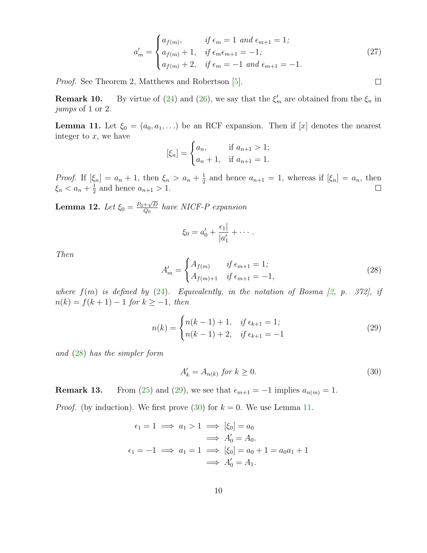$$
a'_{m} = \begin{cases} a_{f(m)}, & \text{if } \epsilon_{m} = 1 \text{ and } \epsilon_{m+1} = 1; \\ a_{f(m)} + 1, & \text{if } \epsilon_{m} \epsilon_{m+1} = -1; \\ a_{f(m)} + 2, & \text{if } \epsilon_{m} = -1 \text{ and } \epsilon_{m+1} = -1. \end{cases}
$$
(27)

<span id="page-9-4"></span>Proof. See Theorem 2, Matthews and Robertson [\[5\]](#page-23-4).

**Remark 10.** By virtue of [\(24\)](#page-8-2) and [\(26\)](#page-8-3), we say that the  $\xi'_m$  are obtained from the  $\xi_n$  in jumps of 1 or 2.

<span id="page-9-3"></span>**Lemma 11.** Let  $\xi_0 = (a_0, a_1, \ldots)$  be an RCF expansion. Then if [x] denotes the nearest integer to  $x$ , we have

$$
[\xi_n] = \begin{cases} a_n, & \text{if } a_{n+1} > 1; \\ a_n + 1, & \text{if } a_{n+1} = 1. \end{cases}
$$

*Proof.* If  $[\xi_n] = a_n + 1$ , then  $\xi_n > a_n + \frac{1}{2}$  $\frac{1}{2}$  and hence  $a_{n+1} = 1$ , whereas if  $[\xi_n] = a_n$ , then  $\xi_n < a_n + \frac{1}{2}$  $\frac{1}{2}$  and hence  $a_{n+1} > 1$ .

<span id="page-9-5"></span>Lemma 12. Let  $\xi_0 = \frac{P_0 + \sqrt{D}}{Q_0}$  $\frac{+\sqrt{D}}{Q_0}$  have NICF-P expansion

$$
\xi_0=a'_0+\frac{\epsilon_1}{|a'_1|}+\cdots.
$$

<span id="page-9-0"></span>Then

$$
A'_{m} = \begin{cases} A_{f(m)} & \text{if } \epsilon_{m+1} = 1; \\ A_{f(m)+1} & \text{if } \epsilon_{m+1} = -1, \end{cases}
$$
 (28)

where  $f(m)$  is defined by [\(24\)](#page-8-2). Equivalently, in the notation of Bosma  $[2, p. 372]$ , if  $n(k) = f(k + 1) - 1$  for  $k \ge -1$ , then

<span id="page-9-2"></span><span id="page-9-1"></span>
$$
n(k) = \begin{cases} n(k-1) + 1, & \text{if } \epsilon_{k+1} = 1; \\ n(k-1) + 2, & \text{if } \epsilon_{k+1} = -1 \end{cases}
$$
 (29)

and [\(28\)](#page-9-0) has the simpler form

$$
A'_k = A_{n(k)} \text{ for } k \ge 0. \tag{30}
$$

**Remark 13.** From [\(25\)](#page-8-4) and [\(29\)](#page-9-1), we see that  $\epsilon_{m+1} = -1$  implies  $a_{n(m)} = 1$ .

*Proof.* (by induction). We first prove  $(30)$  for  $k = 0$ . We use Lemma [11.](#page-9-3)

$$
\epsilon_1 = 1 \implies a_1 > 1 \implies [\xi_0] = a_0
$$
\n
$$
\implies A'_0 = A_0.
$$
\n
$$
\epsilon_1 = -1 \implies a_1 = 1 \implies [\xi_0] = a_0 + 1 = a_0 a_1 + 1
$$
\n
$$
\implies A'_0 = A_1.
$$

 $\Box$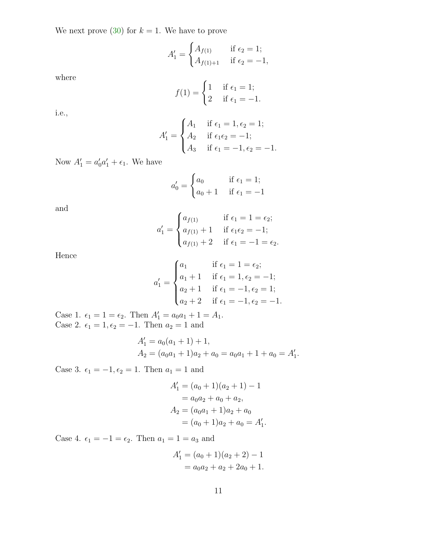We next prove  $(30)$  for  $k = 1$ . We have to prove

$$
A'_1 = \begin{cases} A_{f(1)} & \text{if } \epsilon_2 = 1; \\ A_{f(1)+1} & \text{if } \epsilon_2 = -1, \end{cases}
$$

where

$$
f(1) = \begin{cases} 1 & \text{if } \epsilon_1 = 1; \\ 2 & \text{if } \epsilon_1 = -1. \end{cases}
$$

i.e.,

$$
A'_1 = \begin{cases} A_1 & \text{if } \epsilon_1 = 1, \epsilon_2 = 1; \\ A_2 & \text{if } \epsilon_1 \epsilon_2 = -1; \\ A_3 & \text{if } \epsilon_1 = -1, \epsilon_2 = -1. \end{cases}
$$

Now  $A'_1 = a'_0 a'_1 + \epsilon_1$ . We have

$$
a'_0 = \begin{cases} a_0 & \text{if } \epsilon_1 = 1; \\ a_0 + 1 & \text{if } \epsilon_1 = -1 \end{cases}
$$

and

$$
a'_{1} = \begin{cases} a_{f(1)} & \text{if } \epsilon_{1} = 1 = \epsilon_{2}; \\ a_{f(1)} + 1 & \text{if } \epsilon_{1}\epsilon_{2} = -1; \\ a_{f(1)} + 2 & \text{if } \epsilon_{1} = -1 = \epsilon_{2}. \end{cases}
$$

Hence

$$
a'_1 = \begin{cases} a_1 & \text{if } \epsilon_1 = 1 = \epsilon_2; \\ a_1 + 1 & \text{if } \epsilon_1 = 1, \epsilon_2 = -1; \\ a_2 + 1 & \text{if } \epsilon_1 = -1, \epsilon_2 = 1; \\ a_2 + 2 & \text{if } \epsilon_1 = -1, \epsilon_2 = -1. \end{cases}
$$

Case 1.  $\epsilon_1 = 1 = \epsilon_2$ . Then  $A'_1 = a_0 a_1 + 1 = A_1$ . Case 2.  $\epsilon_1 = 1, \epsilon_2 = -1$ . Then  $a_2 = 1$  and

$$
A'_1 = a_0(a_1 + 1) + 1,
$$
  
\n
$$
A_2 = (a_0a_1 + 1)a_2 + a_0 = a_0a_1 + 1 + a_0 = A'_1.
$$

Case 3.  $\epsilon_1 = -1, \epsilon_2 = 1$ . Then  $a_1 = 1$  and

$$
A'_1 = (a_0 + 1)(a_2 + 1) - 1
$$
  
=  $a_0 a_2 + a_0 + a_2$ ,  

$$
A_2 = (a_0 a_1 + 1)a_2 + a_0
$$
  
=  $(a_0 + 1)a_2 + a_0 = A'_1$ .

Case 4.  $\epsilon_1 = -1 = \epsilon_2$ . Then  $a_1 = 1 = a_3$  and

$$
A'_1 = (a_0 + 1)(a_2 + 2) - 1
$$
  
=  $a_0 a_2 + a_2 + 2a_0 + 1$ .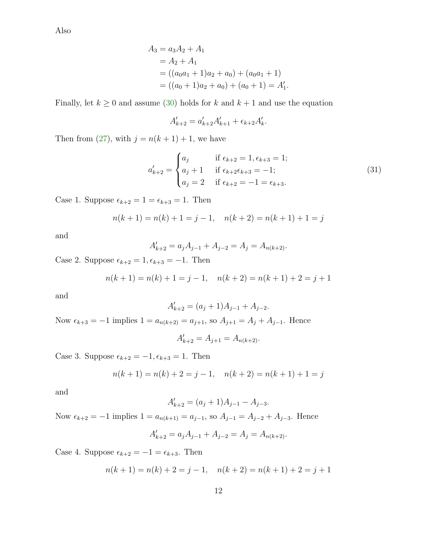Also

$$
A_3 = a_3 A_2 + A_1
$$
  
=  $A_2 + A_1$   
=  $((a_0 a_1 + 1) a_2 + a_0) + (a_0 a_1 + 1)$   
=  $((a_0 + 1) a_2 + a_0) + (a_0 + 1) = A'_1.$ 

Finally, let  $k \ge 0$  and assume [\(30\)](#page-9-2) holds for k and  $k + 1$  and use the equation

$$
A'_{k+2} = a'_{k+2}A'_{k+1} + \epsilon_{k+2}A'_{k}.
$$

Then from [\(27\)](#page-9-4), with  $j = n(k + 1) + 1$ , we have

$$
a'_{k+2} = \begin{cases} a_j & \text{if } \epsilon_{k+2} = 1, \epsilon_{k+3} = 1; \\ a_j + 1 & \text{if } \epsilon_{k+2} \epsilon_{k+3} = -1; \\ a_j = 2 & \text{if } \epsilon_{k+2} = -1 = \epsilon_{k+3}. \end{cases}
$$
(31)

Case 1. Suppose  $\epsilon_{k+2} = 1 = \epsilon_{k+3} = 1$ . Then

$$
n(k+1) = n(k) + 1 = j - 1, \quad n(k+2) = n(k+1) + 1 = j
$$

and

$$
A'_{k+2} = a_j A_{j-1} + A_{j-2} = A_j = A_{n(k+2)}.
$$

Case 2. Suppose  $\epsilon_{k+2} = 1, \epsilon_{k+3} = -1$ . Then

$$
n(k+1) = n(k) + 1 = j - 1, \quad n(k+2) = n(k+1) + 2 = j + 1
$$

and

$$
A'_{k+2} = (a_j + 1)A_{j-1} + A_{j-2}.
$$

Now  $\epsilon_{k+3} = -1$  implies  $1 = a_{n(k+2)} = a_{j+1}$ , so  $A_{j+1} = A_j + A_{j-1}$ . Hence

$$
A'_{k+2} = A_{j+1} = A_{n(k+2)}.
$$

Case 3. Suppose  $\epsilon_{k+2} = -1, \epsilon_{k+3} = 1$ . Then

$$
n(k+1) = n(k) + 2 = j - 1, \quad n(k+2) = n(k+1) + 1 = j
$$

and

$$
A'_{k+2} = (a_j + 1)A_{j-1} - A_{j-3}.
$$

Now  $\epsilon_{k+2} = -1$  implies  $1 = a_{n(k+1)} = a_{j-1}$ , so  $A_{j-1} = A_{j-2} + A_{j-3}$ . Hence

$$
A'_{k+2} = a_j A_{j-1} + A_{j-2} = A_j = A_{n(k+2)}.
$$

Case 4. Suppose  $\epsilon_{k+2} = -1 = \epsilon_{k+3}$ . Then

$$
n(k+1) = n(k) + 2 = j - 1, \quad n(k+2) = n(k+1) + 2 = j + 1
$$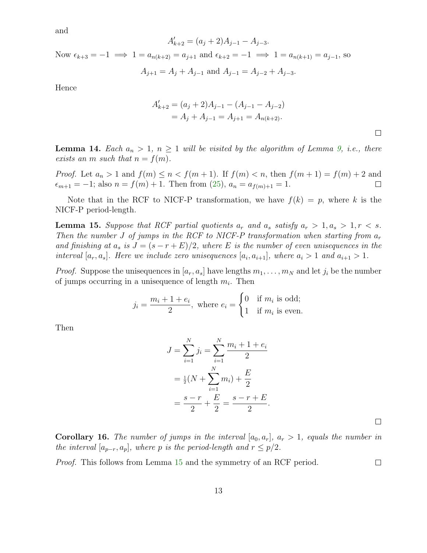and

$$
A'_{k+2} = (a_j + 2)A_{j-1} - A_{j-3}.
$$

Now  $\epsilon_{k+3} = -1 \implies 1 = a_{n(k+2)} = a_{j+1}$  and  $\epsilon_{k+2} = -1 \implies 1 = a_{n(k+1)} = a_{j-1}$ , so

$$
A_{j+1} = A_j + A_{j-1} \text{ and } A_{j-1} = A_{j-2} + A_{j-3}.
$$

Hence

$$
A'_{k+2} = (a_j + 2)A_{j-1} - (A_{j-1} - A_{j-2})
$$
  
=  $A_j + A_{j-1} = A_{j+1} = A_{n(k+2)}$ .

**Lemma 14.** Each  $a_n > 1$ ,  $n \ge 1$  will be visited by the algorithm of Lemma [9,](#page-8-0) i.e., there exists an m such that  $n = f(m)$ .

*Proof.* Let  $a_n > 1$  and  $f(m) \le n < f(m+1)$ . If  $f(m) < n$ , then  $f(m+1) = f(m) + 2$  and  $\epsilon_{m+1} = -1$ ; also  $n = f(m) + 1$ . Then from (25),  $a_n = a_{f(m)+1} = 1$ .  $\epsilon_{m+1} = -1$ ; also  $n = f(m) + 1$ . Then from  $(25)$ ,  $a_n = a_{f(m)+1} = 1$ .

<span id="page-12-0"></span>Note that in the RCF to NICF-P transformation, we have  $f(k) = p$ , where k is the NICF-P period-length.

**Lemma 15.** Suppose that RCF partial quotients  $a_r$  and  $a_s$  satisfy  $a_r > 1, a_s > 1, r < s$ . Then the number J of jumps in the RCF to NICF-P transformation when starting from  $a_r$ and finishing at  $a_s$  is  $J = (s - r + E)/2$ , where E is the number of even unisequences in the interval  $[a_r, a_s]$ . Here we include zero unisequences  $[a_i, a_{i+1}]$ , where  $a_i > 1$  and  $a_{i+1} > 1$ .

*Proof.* Suppose the unisequences in  $[a_r, a_s]$  have lengths  $m_1, \ldots, m_N$  and let  $j_i$  be the number of jumps occurring in a unisequence of length  $m_i$ . Then

$$
j_i = \frac{m_i + 1 + e_i}{2}
$$
, where  $e_i = \begin{cases} 0 & \text{if } m_i \text{ is odd;} \\ 1 & \text{if } m_i \text{ is even.} \end{cases}$ 

Then

$$
J = \sum_{i=1}^{N} j_i = \sum_{i=1}^{N} \frac{m_i + 1 + e_i}{2}
$$
  
=  $\frac{1}{2}(N + \sum_{i=1}^{N} m_i) + \frac{E}{2}$   
=  $\frac{s - r}{2} + \frac{E}{2} = \frac{s - r + E}{2}$ .

<span id="page-12-1"></span>**Corollary 16.** The number of jumps in the interval  $[a_0, a_r]$ ,  $a_r > 1$ , equals the number in the interval  $[a_{p-r}, a_p]$ , where p is the period-length and  $r \leq p/2$ .

 $\Box$ 

 $\Box$ 

Proof. This follows from Lemma [15](#page-12-0) and the symmetry of an RCF period.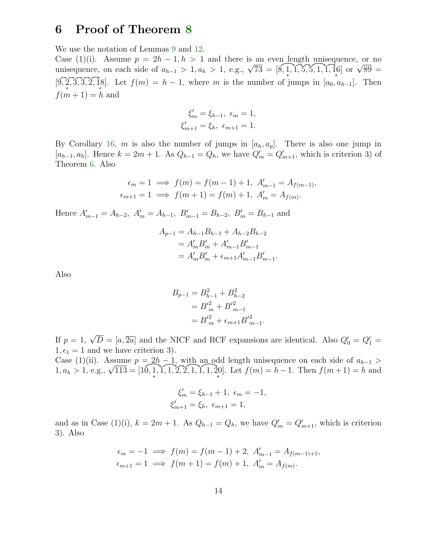### 6 Proof of Theorem [8](#page-8-1)

We use the notation of Lemmas [9](#page-8-0) and [12.](#page-9-5)

Case (1)(i). Assume  $p = 2h - 1, h > 1$  and there is an even length unisequence, or no unisequence, on each side of  $a_{h-1} > 1, a_h > 1$ , e.g.,  $\sqrt{73} = [8, 1, 1, 5, 5, 1, 1, 16]$  or  $\sqrt{89} =$  $[9, 2, 3, 3, 2, 18].$  Let  $f(m) = h - 1$ , where m is the number of jumps in  $[a_0, a_{h-1}]$ . Then  $f(m+1) = h$  and

$$
\xi'_{m} = \xi_{h-1}, \ \epsilon_{m} = 1, \xi'_{m+1} = \xi_{h}, \ \epsilon_{m+1} = 1.
$$

By Corollary [16,](#page-12-1) m is also the number of jumps in  $[a_h, a_p]$ . There is also one jump in  $[a_{h-1}, a_h]$ . Hence  $k = 2m + 1$ . As  $Q_{h-1} = Q_h$ , we have  $Q'_m = Q'_{m+1}$ , which is criterion 3) of Theorem [6.](#page-5-0) Also

$$
\epsilon_m = 1 \implies f(m) = f(m-1) + 1, A'_{m-1} = A_{f(m-1)},
$$
  
\n $\epsilon_{m+1} = 1 \implies f(m+1) = f(m) + 1, A'_{m} = A_{f(m)}.$ 

Hence  $A'_{m-1} = A_{h-2}$ ,  $A'_{m} = A_{h-1}$ ,  $B'_{m-1} = B_{h-2}$ ,  $B'_{m} = B_{h-1}$  and

$$
A_{p-1} = A_{h-1}B_{h-1} + A_{h-2}B_{h-2}
$$
  
=  $A'_mB'_m + A'_{m-1}B'_{m-1}$   
=  $A'_mB'_m + \epsilon_{m+1}A'_{m-1}B'_{m-1}$ 

.

Also

$$
B_{p-1} = B_{h-1}^2 + B_{h-2}^2
$$
  
=  $B_m^2 + B_{m-1}^2$   
=  $B_m^2 + \epsilon_{m+1} B_{m-1}^2$ .

If  $p = 1$ ,  $\sqrt{D} = [a, \overline{2a}]$  and the NICF and RCF expansions are identical. Also  $Q'_0 = Q'_1 =$  $1, \epsilon_1 = 1$  and we have criterion 3).

Case (1)(ii). Assume  $p = 2h - 1$ , with an odd length unisequence on each side of  $a_{h-1}$  $1, a_h > 1$ , e.g.,  $\sqrt{113} = [10, 1]$ ∗  $, 1, 1, 2, 2, 1, 1, 1, 20$  $[20]$ . Let  $f(m) = h - 1$ . Then  $f(m + 1) = h$  and

$$
\xi'_{m} = \xi_{h-1} + 1, \ \epsilon_{m} = -1, \xi'_{m+1} = \xi_{h}, \ \epsilon_{m+1} = 1,
$$

and as in Case (1)(i),  $k = 2m + 1$ . As  $Q_{h-1} = Q_h$ , we have  $Q'_m = Q'_{m+1}$ , which is criterion 3). Also

$$
\epsilon_m = -1 \implies f(m) = f(m-1) + 2, \ A'_{m-1} = A_{f(m-1)+1},
$$
  
\n $\epsilon_{m+1} = 1 \implies f(m+1) = f(m) + 1, \ A'_m = A_{f(m)}.$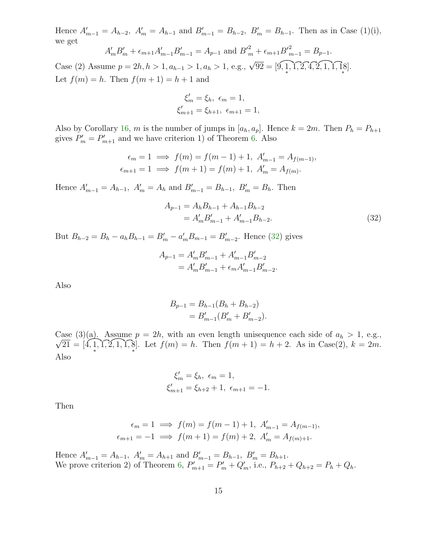Hence  $A'_{m-1} = A_{h-2}$ ,  $A'_{m} = A_{h-1}$  and  $B'_{m-1} = B_{h-2}$ ,  $B'_{m} = B_{h-1}$ . Then as in Case (1)(i), we get

$$
A'_{m}B'_{m} + \epsilon_{m+1}A'_{m-1}B'_{m-1} = A_{p-1} \text{ and } B'^{2}_{m} + \epsilon_{m+1}B'^{2}_{m-1} = B_{p-1}.
$$
  
Case (2) Assume  $p = 2h, h > 1, a_{h-1} > 1, a_h > 1$ , e.g.,  $\sqrt{92} = [9, 1, 1, 2, 4, 2, 1, 1, 1, 8]$ .  
Let  $f(m) = h$ . Then  $f(m+1) = h + 1$  and

$$
\xi'_{m} = \xi_{h}, \ \epsilon_{m} = 1,
$$
  

$$
\xi'_{m+1} = \xi_{h+1}, \ \epsilon_{m+1} = 1,
$$

Also by Corollary [16,](#page-12-1) m is the number of jumps in  $[a_h, a_p]$ . Hence  $k = 2m$ . Then  $P_h = P_{h+1}$ gives  $P'_m = P'_{m+1}$  and we have criterion 1) of Theorem [6.](#page-5-0) Also

$$
\epsilon_m = 1 \implies f(m) = f(m-1) + 1, A'_{m-1} = A_{f(m-1)},
$$
  
\n $\epsilon_{m+1} = 1 \implies f(m+1) = f(m) + 1, A'_{m} = A_{f(m)}.$ 

Hence  $A'_{m-1} = A_{h-1}$ ,  $A'_{m} = A_{h}$  and  $B'_{m-1} = B_{h-1}$ ,  $B'_{m} = B_{h}$ . Then

<span id="page-14-0"></span>
$$
A_{p-1} = A_h B_{h-1} + A_{h-1} B_{h-2}
$$
  
=  $A'_m B'_{m-1} + A'_{m-1} B_{h-2}$ . (32)

But  $B_{h-2} = B_h - a_h B_{h-1} = B'_m - a'_m B_{m-1} = B'_{m-2}$ . Hence [\(32\)](#page-14-0) gives

$$
A_{p-1} = A'_{m} B'_{m-1} + A'_{m-1} B'_{m-2}
$$
  
=  $A'_{m} B'_{m-1} + \epsilon_{m} A'_{m-1} B'_{m-2}$ .

Also

$$
B_{p-1} = B_{h-1}(B_h + B_{h-2})
$$
  
=  $B'_{m-1}(B'_m + B'_{m-2}).$ 

Case (3)(a). Assume  $p = 2h$ , with an even length unisequence each side of  $a_h > 1$ , e.g.,  $\sqrt{21} = [4, 1]$ ∗  $, 1, 2, 1, 1, 8$ ∗ ]. Let  $f(m) = h$ . Then  $f(m + 1) = h + 2$ . As in Case(2),  $k = 2m$ . Also

$$
\xi'_{m} = \xi_{h}, \ \epsilon_{m} = 1,
$$
  

$$
\xi'_{m+1} = \xi_{h+2} + 1, \ \epsilon_{m+1} = -1.
$$

Then

$$
\epsilon_m = 1 \implies f(m) = f(m-1) + 1, A'_{m-1} = A_{f(m-1)},
$$
  
\n $\epsilon_{m+1} = -1 \implies f(m+1) = f(m) + 2, A'_{m} = A_{f(m)+1}.$ 

Hence  $A'_{m-1} = A_{h-1}$ ,  $A'_{m} = A_{h+1}$  and  $B'_{m-1} = B_{h-1}$ ,  $B'_{m} = B_{h+1}$ . We prove criterion 2) of Theorem [6,](#page-5-0)  $P'_{m+1} = P'_{m} + Q'_{m}$ , i.e.,  $P_{h+2} + Q_{h+2} = P_{h} + Q_{h}$ .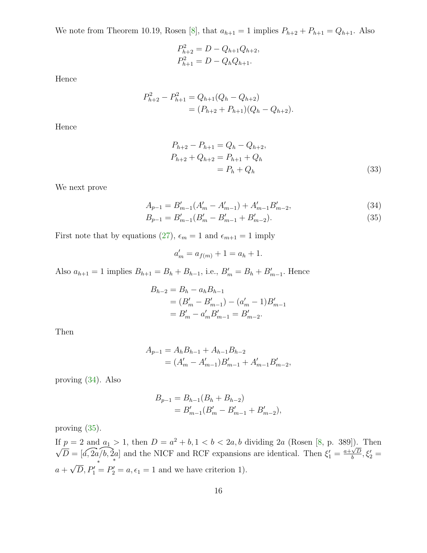We note from Theorem 10.19, Rosen [\[8\]](#page-23-7), that  $a_{h+1} = 1$  implies  $P_{h+2} + P_{h+1} = Q_{h+1}$ . Also

$$
P_{h+2}^2 = D - Q_{h+1}Q_{h+2},
$$
  

$$
P_{h+1}^2 = D - Q_hQ_{h+1}.
$$

Hence

$$
P_{h+2}^2 - P_{h+1}^2 = Q_{h+1}(Q_h - Q_{h+2})
$$
  
=  $(P_{h+2} + P_{h+1})(Q_h - Q_{h+2}).$ 

Hence

<span id="page-15-2"></span><span id="page-15-0"></span>
$$
P_{h+2} - P_{h+1} = Q_h - Q_{h+2},
$$
  
\n
$$
P_{h+2} + Q_{h+2} = P_{h+1} + Q_h
$$
  
\n
$$
= P_h + Q_h
$$
\n(33)

We next prove

$$
A_{p-1} = B'_{m-1}(A'_{m} - A'_{m-1}) + A'_{m-1}B'_{m-2},
$$
\n(34)

$$
B_{p-1} = B'_{m-1}(B'_{m} - B'_{m-1} + B'_{m-2}).
$$
\n(35)

First note that by equations [\(27\)](#page-9-4),  $\epsilon_m = 1$  and  $\epsilon_{m+1} = 1$  imply

<span id="page-15-1"></span>
$$
a'_m = a_{f(m)} + 1 = a_h + 1.
$$

Also  $a_{h+1} = 1$  implies  $B_{h+1} = B_h + B_{h-1}$ , i.e.,  $B'_m = B_h + B'_{m-1}$ . Hence

$$
B_{h-2} = B_h - a_h B_{h-1}
$$
  
=  $(B'_m - B'_{m-1}) - (a'_m - 1)B'_{m-1}$   
=  $B'_m - a'_m B'_{m-1} = B'_{m-2}$ .

Then

$$
A_{p-1} = A_h B_{h-1} + A_{h-1} B_{h-2}
$$
  
=  $(A'_m - A'_{m-1})B'_{m-1} + A'_{m-1}B'_{m-2}$ ,

proving [\(34\)](#page-15-0). Also

$$
B_{p-1} = B_{h-1}(B_h + B_{h-2})
$$
  
=  $B'_{m-1}(B'_m - B'_{m-1} + B'_{m-2}),$ 

proving [\(35\)](#page-15-1).

If  $p = 2$  and  $a_1 > 1$ , then  $D = a^2 + b$ ,  $1 < b < 2a$ , b dividing  $2a$  (Rosen [\[8,](#page-23-7) p. 389]). Then  $\sqrt{D} = \sqrt{a}$ ,  $2a/b$ ,  $2a$  $a + \sqrt{D}$ ,  $P'_1 = P'_2 = a$ ,  $\epsilon_1 = 1$  and we have criterion 1). ∗ and the NICF and RCF expansions are identical. Then  $\xi_1' = \frac{a + \sqrt{D}}{b}$  $\frac{\sqrt{D}}{b}, \xi_2' =$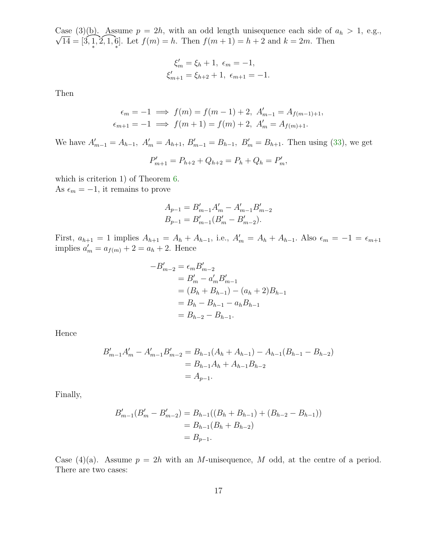$\sqrt{14} = [3, 1]$ Case (3)(b). Assume  $p = 2h$ , with an odd length unisequence each side of  $a_h > 1$ , e.g., ∗  $, 2, 1, 6$ ∗ ]. Let  $f(m) = h$ . Then  $f(m + 1) = h + 2$  and  $k = 2m$ . Then

$$
\xi'_{m} = \xi_{h} + 1, \ \epsilon_{m} = -1,
$$
  

$$
\xi'_{m+1} = \xi_{h+2} + 1, \ \epsilon_{m+1} = -1.
$$

Then

$$
\epsilon_m = -1 \implies f(m) = f(m-1) + 2, A'_{m-1} = A_{f(m-1)+1},
$$
  
\n $\epsilon_{m+1} = -1 \implies f(m+1) = f(m) + 2, A'_{m} = A_{f(m)+1}.$ 

We have  $A'_{m-1} = A_{h-1}$ ,  $A'_{m} = A_{h+1}$ ,  $B'_{m-1} = B_{h-1}$ ,  $B'_{m} = B_{h+1}$ . Then using [\(33\)](#page-15-2), we get

$$
P'_{m+1} = P_{h+2} + Q_{h+2} = P_h + Q_h = P'_m,
$$

which is criterion 1) of Theorem  $6$ . As  $\epsilon_m = -1$ , it remains to prove

$$
A_{p-1} = B'_{m-1}A'_{m} - A'_{m-1}B'_{m-2}
$$
  
\n
$$
B_{p-1} = B'_{m-1}(B'_{m} - B'_{m-2}).
$$

First,  $a_{h+1} = 1$  implies  $A_{h+1} = A_h + A_{h-1}$ , i.e.,  $A'_m = A_h + A_{h-1}$ . Also  $\epsilon_m = -1 = \epsilon_{m+1}$ implies  $a'_m = a_{f(m)} + 2 = a_h + 2$ . Hence

$$
-B'_{m-2} = \epsilon_m B'_{m-2}
$$
  
=  $B'_m - a'_m B'_{m-1}$   
=  $(B_h + B_{h-1}) - (a_h + 2)B_{h-1}$   
=  $B_h - B_{h-1} - a_h B_{h-1}$   
=  $B_{h-2} - B_{h-1}$ .

Hence

$$
B'_{m-1}A'_{m} - A'_{m-1}B'_{m-2} = B_{h-1}(A_{h} + A_{h-1}) - A_{h-1}(B_{h-1} - B_{h-2})
$$
  
= B\_{h-1}A\_{h} + A\_{h-1}B\_{h-2}  
= A\_{p-1}.

Finally,

$$
B'_{m-1}(B'_{m} - B'_{m-2}) = B_{h-1}((B_{h} + B_{h-1}) + (B_{h-2} - B_{h-1}))
$$
  
=  $B_{h-1}(B_{h} + B_{h-2})$   
=  $B_{p-1}$ .

Case (4)(a). Assume  $p = 2h$  with an M-unisequence, M odd, at the centre of a period. There are two cases: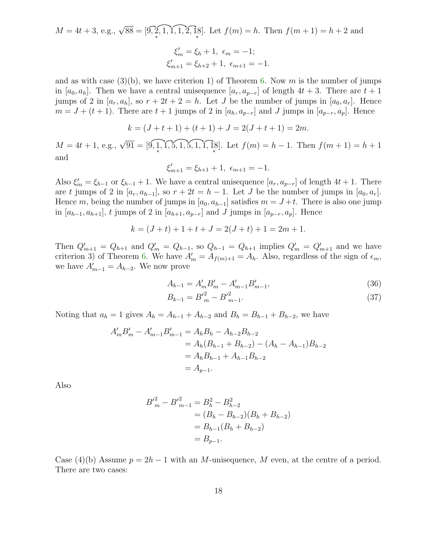$$
M = 4t + 3, e.g., \sqrt{88} = [9, 2, 1, 1, 1, 2, 1, 8]. \text{ Let } f(m) = h. \text{ Then } f(m+1) = h + 2 \text{ and}
$$

$$
\xi'_{m} = \xi_{h} + 1, \ \epsilon_{m} = -1;
$$

$$
\xi'_{m+1} = \xi_{h+2} + 1, \ \epsilon_{m+1} = -1.
$$

and as with case  $(3)(b)$ , we have criterion 1) of Theorem [6.](#page-5-0) Now m is the number of jumps in [ $a_0, a_h$ ]. Then we have a central unisequence [ $a_r, a_{p-r}$ ] of length  $4t + 3$ . There are  $t + 1$ jumps of 2 in  $[a_r, a_h]$ , so  $r + 2t + 2 = h$ . Let J be the number of jumps in  $[a_0, a_r]$ . Hence  $m = J + (t + 1)$ . There are  $t + 1$  jumps of 2 in  $[a_h, a_{p-r}]$  and J jumps in  $[a_{p-r}, a_p]$ . Hence

$$
k = (J + t + 1) + (t + 1) + J = 2(J + t + 1) = 2m.
$$

 $M = 4t + 1$ , e.g.,  $\sqrt{91} = \boxed{9, 1}$ ∗  $, 1, 5, 1, 5, 1, 1, 18$  ${8 \choose *}$ . Let  $f(m) = h - 1$ . Then  $f(m + 1) = h + 1$ and

$$
\xi'_{m+1} = \xi_{h+1} + 1, \ \epsilon_{m+1} = -1.
$$

Also  $\xi'_m = \xi_{h-1}$  or  $\xi_{h-1} + 1$ . We have a central unisequence  $[a_r, a_{p-r}]$  of length  $4t + 1$ . There are t jumps of 2 in  $[a_r, a_{h-1}]$ , so  $r + 2t = h - 1$ . Let J be the number of jumps in  $[a_0, a_r]$ . Hence m, being the number of jumps in  $[a_0, a_{h-1}]$  satisfies  $m = J+t$ . There is also one jump in  $[a_{h-1}, a_{h+1}]$ , t jumps of 2 in  $[a_{h+1}, a_{p-r}]$  and J jumps in  $[a_{p-r}, a_p]$ . Hence

$$
k = (J + t) + 1 + t + J = 2(J + t) + 1 = 2m + 1.
$$

Then  $Q'_{m+1} = Q_{h+1}$  and  $Q'_{m} = Q_{h-1}$ , so  $Q_{h-1} = Q_{h+1}$  implies  $Q'_{m} = Q'_{m+1}$  and we have criterion 3) of Theorem [6.](#page-5-0) We have  $A'_m = A_{f(m)+1} = A_h$ . Also, regardless of the sign of  $\epsilon_m$ , we have  $A'_{m-1} = A_{h-2}$ . We now prove

$$
A_{k-1} = A'_m B'_m - A'_{m-1} B'_{m-1},
$$
\n(36)

$$
B_{k-1} = {B'}_m^2 - {B'}_{m-1}^2. \tag{37}
$$

Noting that  $a_h = 1$  gives  $A_h = A_{h-1} + A_{h-2}$  and  $B_h = B_{h-1} + B_{h-2}$ , we have

$$
A'_{m}B'_{m} - A'_{m-1}B'_{m-1} = A_{h}B_{h} - A_{h-2}B_{h-2}
$$
  
=  $A_{h}(B_{h-1} + B_{h-2}) - (A_{h} - A_{h-1})B_{h-2}$   
=  $A_{h}B_{h-1} + A_{h-1}B_{h-2}$   
=  $A_{p-1}$ .

Also

$$
B'^{2}_{m} - B'^{2}_{m-1} = B_{h}^{2} - B_{h-2}^{2}
$$
  
=  $(B_{h} - B_{h-2})(B_{h} + B_{h-2})$   
=  $B_{h-1}(B_{h} + B_{h-2})$   
=  $B_{p-1}$ .

Case (4)(b) Assume  $p = 2h - 1$  with an M-unisequence, M even, at the centre of a period. There are two cases: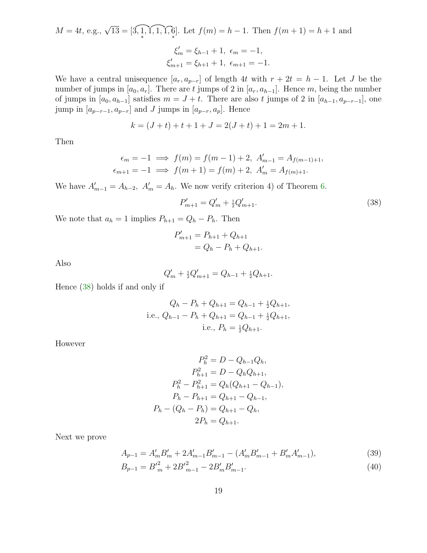$$
M = 4t, e.g., \sqrt{13} = [3, 1, 1, 1, 1, 6]. \text{ Let } f(m) = h - 1. \text{ Then } f(m + 1) = h + 1 \text{ and}
$$

$$
\xi'_{m} = \xi_{h-1} + 1, \ \epsilon_{m} = -1,
$$

$$
\xi'_{m+1} = \xi_{h+1} + 1, \ \epsilon_{m+1} = -1.
$$

We have a central unisequence  $[a_r, a_{p-r}]$  of length 4t with  $r + 2t = h - 1$ . Let J be the number of jumps in  $[a_0, a_r]$ . There are t jumps of 2 in  $[a_r, a_{h-1}]$ . Hence m, being the number of jumps in  $[a_0, a_{h-1}]$  satisfies  $m = J + t$ . There are also t jumps of 2 in  $[a_{h-1}, a_{p-r-1}]$ , one jump in  $[a_{p-r-1}, a_{p-r}]$  and J jumps in  $[a_{p-r}, a_p]$ . Hence

$$
k = (J + t) + t + 1 + J = 2(J + t) + 1 = 2m + 1.
$$

Then

$$
\epsilon_m = -1 \implies f(m) = f(m-1) + 2, \ A'_{m-1} = A_{f(m-1)+1},
$$
  

$$
\epsilon_{m+1} = -1 \implies f(m+1) = f(m) + 2, \ A'_m = A_{f(m)+1}.
$$

We have  $A'_{m-1} = A_{h-2}$ ,  $A'_{m} = A_{h}$ . We now verify criterion 4) of Theorem [6.](#page-5-0)

<span id="page-18-0"></span>
$$
P'_{m+1} = Q'_{m} + \frac{1}{2}Q'_{m+1}.
$$
\n(38)

We note that  $a_h = 1$  implies  $P_{h+1} = Q_h - P_h$ . Then

$$
P'_{m+1} = P_{h+1} + Q_{h+1}
$$
  
=  $Q_h - P_h + Q_{h+1}$ .

Also

$$
Q'_{m} + \frac{1}{2}Q'_{m+1} = Q_{h-1} + \frac{1}{2}Q_{h+1}.
$$

Hence [\(38\)](#page-18-0) holds if and only if

$$
Q_h - P_h + Q_{h+1} = Q_{h-1} + \frac{1}{2}Q_{h+1},
$$
  
i.e.,  $Q_{h-1} - P_h + Q_{h+1} = Q_{h-1} + \frac{1}{2}Q_{h+1},$   
i.e.,  $P_h = \frac{1}{2}Q_{h+1}.$ 

However

$$
P_h^2 = D - Q_{h-1}Q_h,
$$
  
\n
$$
P_{h+1}^2 = D - Q_hQ_{h+1},
$$
  
\n
$$
P_h^2 - P_{h+1}^2 = Q_h(Q_{h+1} - Q_{h-1}),
$$
  
\n
$$
P_h - P_{h+1} = Q_{h+1} - Q_{h-1},
$$
  
\n
$$
P_h - (Q_h - P_h) = Q_{h+1} - Q_h,
$$
  
\n
$$
2P_h = Q_{h+1}.
$$

Next we prove

$$
A_{p-1} = A'_{m} B'_{m} + 2A'_{m-1} B'_{m-1} - (A'_{m} B'_{m-1} + B'_{m} A'_{m-1}),
$$
\n
$$
B_{p-1} = B'^{2}_{m} + 2B'^{2}_{m-1} - 2B'_{m} B'_{m-1}.
$$
\n(39)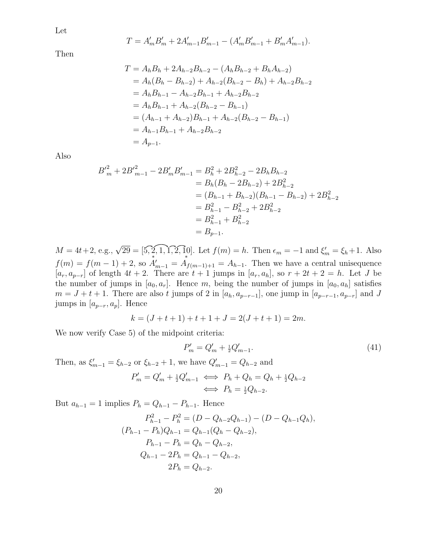Let

$$
T = A'_{m} B'_{m} + 2A'_{m-1} B'_{m-1} - (A'_{m} B'_{m-1} + B'_{m} A'_{m-1}).
$$

Then

$$
T = A_h B_h + 2A_{h-2} B_{h-2} - (A_h B_{h-2} + B_h A_{h-2})
$$
  
=  $A_h (B_h - B_{h-2}) + A_{h-2} (B_{h-2} - B_h) + A_{h-2} B_{h-2}$   
=  $A_h B_{h-1} - A_{h-2} B_{h-1} + A_{h-2} B_{h-2}$   
=  $A_h B_{h-1} + A_{h-2} (B_{h-2} - B_{h-1})$   
=  $(A_{h-1} + A_{h-2}) B_{h-1} + A_{h-2} (B_{h-2} - B_{h-1})$   
=  $A_{h-1} B_{h-1} + A_{h-2} B_{h-2}$   
=  $A_{p-1}$ .

Also

$$
B'^{2}_{m} + 2B'^{2}_{m-1} - 2B'_{m}B'_{m-1} = B_{h}^{2} + 2B_{h-2}^{2} - 2B_{h}B_{h-2}
$$
  
=  $B_{h}(B_{h} - 2B_{h-2}) + 2B_{h-2}^{2}$   
=  $(B_{h-1} + B_{h-2})(B_{h-1} - B_{h-2}) + 2B_{h-2}^{2}$   
=  $B_{h-1}^{2} - B_{h-2}^{2} + 2B_{h-2}^{2}$   
=  $B_{h-1}^{2} + B_{h-2}^{2}$   
=  $B_{p-1}^{2}$ .

 $M = 4t + 2$ , e.g.,  $\sqrt{29} = [5, 2, 1, 1, 2, 1]$ . Let  $f(m) = h$ . Then  $\epsilon_m = -1$  and  $\xi'_m = \xi_h + 1$ . Also  $f(m) = f(m-1) + 2$ , so  $\mathring{A}'_{m-1} = \mathring{A}_{f(m-1)+1} = A_{h-1}$ . Then we have a central unisequence  $[a_r, a_{p-r}]$  of length  $4t + 2$ . There are  $t + 1$  jumps in  $[a_r, a_h]$ , so  $r + 2t + 2 = h$ . Let J be the number of jumps in  $[a_0, a_r]$ . Hence m, being the number of jumps in  $[a_0, a_h]$  satisfies  $m = J + t + 1$ . There are also t jumps of 2 in  $[a_h, a_{p-r-1}]$ , one jump in  $[a_{p-r-1}, a_{p-r}]$  and J jumps in  $[a_{p-r}, a_p]$ . Hence

$$
k = (J + t + 1) + t + 1 + J = 2(J + t + 1) = 2m.
$$

We now verify Case 5) of the midpoint criteria:

$$
P'_m = Q'_m + \frac{1}{2}Q'_{m-1}.
$$
\n(41)

Then, as  $\xi'_{m-1} = \xi_{h-2}$  or  $\xi_{h-2} + 1$ , we have  $Q'_{m-1} = Q_{h-2}$  and

$$
P'_m = Q'_m + \frac{1}{2}Q'_{m-1} \iff P_h + Q_h = Q_h + \frac{1}{2}Q_{h-2}
$$

$$
\iff P_h = \frac{1}{2}Q_{h-2}.
$$

But  $a_{h-1} = 1$  implies  $P_h = Q_{h-1} - P_{h-1}$ . Hence

$$
P_{h-1}^{2} - P_{h}^{2} = (D - Q_{h-2}Q_{h-1}) - (D - Q_{h-1}Q_{h}),
$$
  
\n
$$
(P_{h-1} - P_{h})Q_{h-1} = Q_{h-1}(Q_{h} - Q_{h-2}),
$$
  
\n
$$
P_{h-1} - P_{h} = Q_{h} - Q_{h-2},
$$
  
\n
$$
Q_{h-1} - 2P_{h} = Q_{h-1} - Q_{h-2},
$$
  
\n
$$
2P_{h} = Q_{h-2}.
$$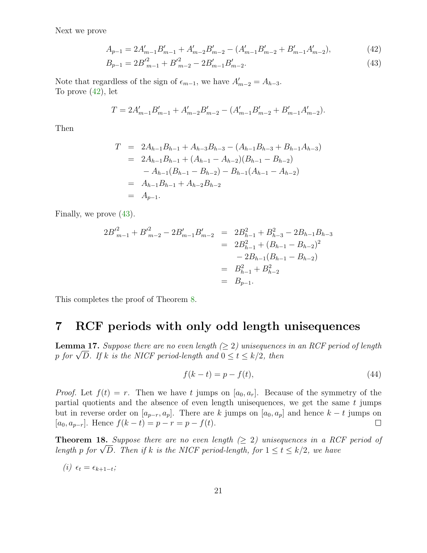Next we prove

$$
A_{p-1} = 2A'_{m-1}B'_{m-1} + A'_{m-2}B'_{m-2} - (A'_{m-1}B'_{m-2} + B'_{m-1}A'_{m-2}),
$$
\n(42)

<span id="page-20-3"></span><span id="page-20-2"></span>
$$
B_{p-1} = 2B'^{2}_{m-1} + B'^{2}_{m-2} - 2B'_{m-1}B'_{m-2}.
$$
\n(43)

Note that regardless of the sign of  $\epsilon_{m-1}$ , we have  $A'_{m-2} = A_{h-3}$ . To prove  $(42)$ , let

$$
T = 2A'_{m-1}B'_{m-1} + A'_{m-2}B'_{m-2} - (A'_{m-1}B'_{m-2} + B'_{m-1}A'_{m-2}).
$$

Then

$$
T = 2A_{h-1}B_{h-1} + A_{h-3}B_{h-3} - (A_{h-1}B_{h-3} + B_{h-1}A_{h-3})
$$
  
=  $2A_{h-1}B_{h-1} + (A_{h-1} - A_{h-2})(B_{h-1} - B_{h-2})$   
 $- A_{h-1}(B_{h-1} - B_{h-2}) - B_{h-1}(A_{h-1} - A_{h-2})$   
=  $A_{h-1}B_{h-1} + A_{h-2}B_{h-2}$   
=  $A_{p-1}$ .

Finally, we prove [\(43\)](#page-20-3).

$$
2B'^{2}_{m-1} + B'^{2}_{m-2} - 2B'_{m-1}B'_{m-2} = 2B^{2}_{h-1} + B^{2}_{h-3} - 2B_{h-1}B_{h-3}
$$
  

$$
= 2B^{2}_{h-1} + (B_{h-1} - B_{h-2})^{2}
$$
  

$$
- 2B_{h-1}(B_{h-1} - B_{h-2})
$$
  

$$
= B^{2}_{h-1} + B^{2}_{h-2}
$$
  

$$
= B_{p-1}.
$$

<span id="page-20-1"></span>This completes the proof of Theorem [8.](#page-8-1)

#### 7 RCF periods with only odd length unisequences

<span id="page-20-4"></span>**Lemma 17.** Suppose there are no even length  $(\geq 2)$  unisequences in an RCF period of length p for  $\sqrt{D}$ . If k is the NICF period-length and  $0 \le t \le k/2$ , then

$$
f(k - t) = p - f(t),
$$
\n(44)

*Proof.* Let  $f(t) = r$ . Then we have t jumps on  $[a_0, a_r]$ . Because of the symmetry of the partial quotients and the absence of even length unisequences, we get the same  $t$  jumps but in reverse order on  $[a_{p-r}, a_p]$ . There are k jumps on  $[a_0, a_p]$  and hence  $k - t$  jumps on  $[a_0, a_{p-r}]$ . Hence  $f(k - t) = p - r = p - f(t)$ . [ $a_0, a_{p-r}$ ]. Hence  $f(k-t) = p - r = p - f(t)$ .

<span id="page-20-0"></span>**Theorem 18.** Suppose there are no even length  $(\geq 2)$  unisequences in a RCF period of length p for  $\sqrt{D}$ . Then if k is the NICF period-length, for  $1 \le t \le k/2$ , we have

$$
(i) \epsilon_t = \epsilon_{k+1-t};
$$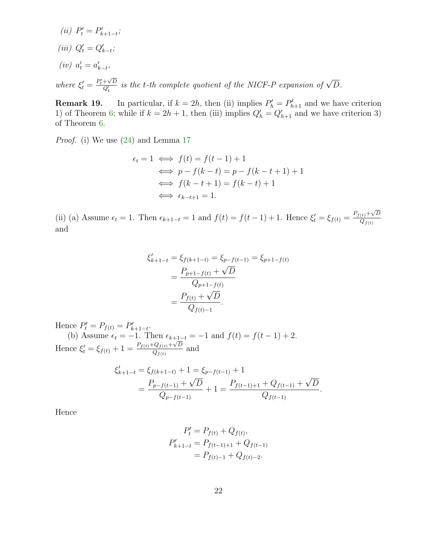(*ii*)  $P'_t = P'_{k+1-t}$ ; (iii)  $Q'_t = Q'_{k-t}$ ;  $(iv) \ \ a'_t = a'_{k-t},$ 

where  $\xi'_t = \frac{P'_t + \sqrt{D}}{Q'_t}$  is the t-th complete quotient of the NICF-P expansion of  $\sqrt{D}$ .

**Remark 19.** In particular, if  $k = 2h$ , then (ii) implies  $P'_h = P'_{h+1}$  and we have criterion 1) of Theorem [6;](#page-5-0) while if  $k = 2h + 1$ , then (iii) implies  $Q'_h = Q'_{h+1}$  and we have criterion 3) of Theorem [6.](#page-5-0)

Proof. (i) We use [\(24\)](#page-8-2) and Lemma [17](#page-20-4)

$$
\epsilon_t = 1 \iff f(t) = f(t-1) + 1
$$
  
\n
$$
\iff p - f(k-t) = p - f(k-t+1) + 1
$$
  
\n
$$
\iff f(k-t+1) = f(k-t) + 1
$$
  
\n
$$
\iff \epsilon_{k-t+1} = 1.
$$

(ii) (a) Assume  $\epsilon_t = 1$ . Then  $\epsilon_{k+1-t} = 1$  and  $f(t) = f(t-1) + 1$ . Hence  $\xi'_t = \xi_{f(t)} = \frac{P_{f(t)} + \sqrt{D}}{Q_{f(t)}}$  $Q_{f(t)}$ and

$$
\xi'_{k+1-t} = \xi_{f(k+1-t)} = \xi_{p-f(t-1)} = \xi_{p+1-f(t)}
$$

$$
= \frac{P_{p+1-f(t)} + \sqrt{D}}{Q_{p+1-f(t)}}
$$

$$
= \frac{P_{f(t)} + \sqrt{D}}{Q_{f(t)-1}}.
$$

Hence  $P'_t = P_{f(t)} = P'_{k+1-t}$ . (b) Assume  $\epsilon_t = -1$ . Then  $\epsilon_{k+1-t} = -1$  and  $f(t) = f(t-1) + 2$ . Hence  $\xi'_{t} = \xi_{f(t)} + 1 = \frac{P_{f(t)} + Q_{f(t)} + \sqrt{D}}{Q_{f(t)}}$  $\frac{Q_{f(t)} + \nu D}{Q_{f(t)}}$  and

$$
\xi'_{k+1-t} = \xi_{f(k+1-t)} + 1 = \xi_{p-f(t-1)} + 1
$$
  
= 
$$
\frac{P_{p-f(t-1)} + \sqrt{D}}{Q_{p-f(t-1)}} + 1 = \frac{P_{f(t-1)+1} + Q_{f(t-1)} + \sqrt{D}}{Q_{f(t-1)}}
$$

.

Hence

$$
P'_t = P_{f(t)} + Q_{f(t)},
$$
  
\n
$$
P'_{k+1-t} = P_{f(t-1)+1} + Q_{f(t-1)}
$$
  
\n
$$
= P_{f(t)-1} + Q_{f(t)-2}.
$$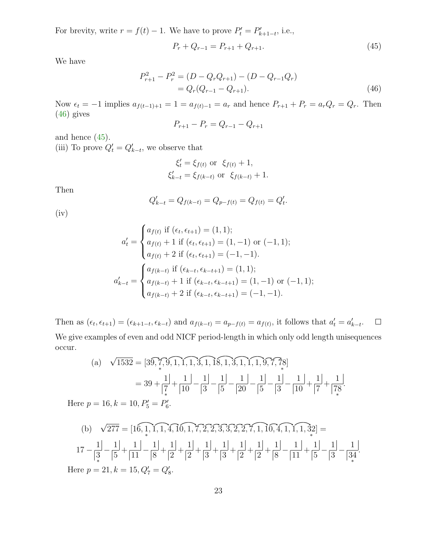For brevity, write  $r = f(t) - 1$ . We have to prove  $P'_t = P'_{k+1-t}$ , i.e.,

<span id="page-22-1"></span><span id="page-22-0"></span>
$$
P_r + Q_{r-1} = P_{r+1} + Q_{r+1}.
$$
\n(45)

We have

$$
P_{r+1}^2 - P_r^2 = (D - Q_r Q_{r+1}) - (D - Q_{r-1} Q_r)
$$
  
=  $Q_r (Q_{r-1} - Q_{r+1}).$  (46)

Now  $\epsilon_t = -1$  implies  $a_{f(t-1)+1} = 1 = a_{f(t)-1} = a_r$  and hence  $P_{r+1} + P_r = a_r Q_r = Q_r$ . Then [\(46\)](#page-22-0) gives

$$
P_{r+1} - P_r = Q_{r-1} - Q_{r+1}
$$

and hence [\(45\)](#page-22-1).

(iii) To prove  $Q'_t = Q'_{k-t}$ , we observe that

$$
\xi'_t = \xi_{f(t)}
$$
 or  $\xi_{f(t)} + 1$ ,  
\n $\xi'_{k-t} = \xi_{f(k-t)}$  or  $\xi_{f(k-t)} + 1$ .

Then

$$
Q'_{k-t} = Q_{f(k-t)} = Q_{p-f(t)} = Q_{f(t)} = Q'_t.
$$

(iv)

$$
a'_{t} = \begin{cases} a_{f(t)} \text{ if } (\epsilon_{t}, \epsilon_{t+1}) = (1, 1); \\ a_{f(t)} + 1 \text{ if } (\epsilon_{t}, \epsilon_{t+1}) = (1, -1) \text{ or } (-1, 1); \\ a_{f(t)} + 2 \text{ if } (\epsilon_{t}, \epsilon_{t+1}) = (-1, -1). \end{cases}
$$

$$
a'_{k-t} = \begin{cases} a_{f(k-t)} \text{ if } (\epsilon_{k-t}, \epsilon_{k-t+1}) = (1, 1); \\ a_{f(k-t)} + 1 \text{ if } (\epsilon_{k-t}, \epsilon_{k-t+1}) = (1, -1) \text{ or } (-1, 1); \\ a_{f(k-t)} + 2 \text{ if } (\epsilon_{k-t}, \epsilon_{k-t+1}) = (-1, -1). \end{cases}
$$

 $\Box$ Then as  $(\epsilon_t, \epsilon_{t+1}) = (\epsilon_{k+1-t}, \epsilon_{k-t})$  and  $a_{f(k-t)} = a_{p-f(t)} = a_{f(t)}$ , it follows that  $a'_t = a'_{k-t}$ . We give examples of even and odd NICF period-length in which only odd length unisequences occur.

(a) 
$$
\sqrt{1532} = [39, \overline{7}, 9, 1, 1, 1, 3, 1, 18, 1, 3, 1, 1, 1, 9, 7, 78]
$$
  
\t\t\t $= 39 + \frac{1}{7} + \frac{1}{10} - \frac{1}{3} - \frac{1}{5} - \frac{1}{20} - \frac{1}{5} - \frac{1}{3} - \frac{1}{10} + \frac{1}{7} + \frac{1}{78}$   
\t\t\t $p = 16, k = 10, P'_{5} = P'_{6}.$ 

Here  $S'_{5} = F$ 6

(b) 
$$
\sqrt{277} = [16, 1, 1, 1, 4, 10, 1, 7, 2, 2, 3, 3, 2, 2, 7, 1, 10, 4, 1, 1, 1, 32] =
$$
  
\n
$$
17 - \frac{1}{3} - \frac{1}{5} + \frac{1}{11} - \frac{1}{8} + \frac{1}{2} + \frac{1}{2} + \frac{1}{3} + \frac{1}{3} + \frac{1}{2} + \frac{1}{2} + \frac{1}{8} - \frac{1}{11} + \frac{1}{5} - \frac{1}{3} - \frac{1}{34}.
$$
\nHere  $p = 21, k = 15, Q_7' = Q_8'$ .